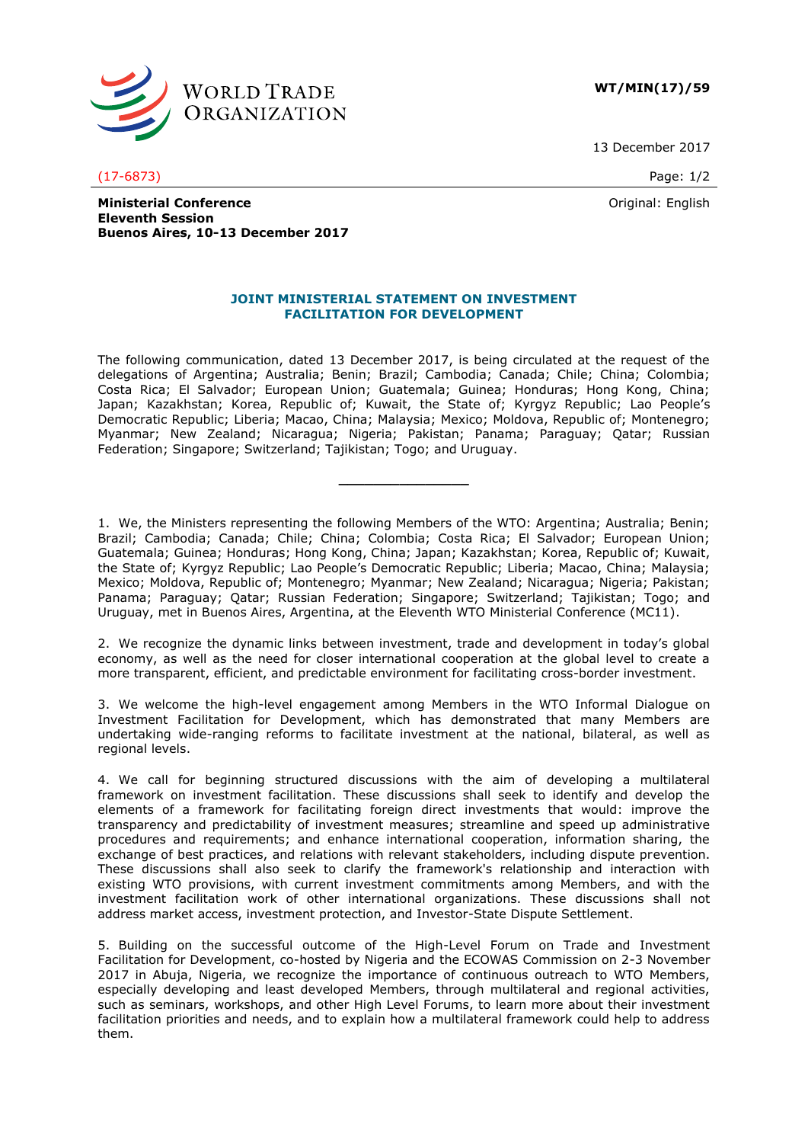

**WT/MIN(17)/59**

13 December 2017

(17-6873) Page: 1/2

Original: English

**Ministerial Conference Eleventh Session Buenos Aires, 10-13 December 2017**

## **JOINT MINISTERIAL STATEMENT ON INVESTMENT FACILITATION FOR DEVELOPMENT**

The following communication, dated 13 December 2017, is being circulated at the request of the delegations of Argentina; Australia; Benin; Brazil; Cambodia; Canada; Chile; China; Colombia; Costa Rica; El Salvador; European Union; Guatemala; Guinea; Honduras; Hong Kong, China; Japan; Kazakhstan; Korea, Republic of; Kuwait, the State of; Kyrgyz Republic; Lao People's Democratic Republic; Liberia; Macao, China; Malaysia; Mexico; Moldova, Republic of; Montenegro; Myanmar; New Zealand; Nicaragua; Nigeria; Pakistan; Panama; Paraguay; Qatar; Russian Federation; Singapore; Switzerland; Tajikistan; Togo; and Uruguay.

**\_\_\_\_\_\_\_\_\_\_\_\_\_\_\_**

1. We, the Ministers representing the following Members of the WTO: Argentina; Australia; Benin; Brazil; Cambodia; Canada; Chile; China; Colombia; Costa Rica; El Salvador; European Union; Guatemala; Guinea; Honduras; Hong Kong, China; Japan; Kazakhstan; Korea, Republic of; Kuwait, the State of; Kyrgyz Republic; Lao People's Democratic Republic; Liberia; Macao, China; Malaysia; Mexico; Moldova, Republic of; Montenegro; Myanmar; New Zealand; Nicaragua; Nigeria; Pakistan; Panama; Paraguay; Qatar; Russian Federation; Singapore; Switzerland; Tajikistan; Togo; and Uruguay, met in Buenos Aires, Argentina, at the Eleventh WTO Ministerial Conference (MC11).

2. We recognize the dynamic links between investment, trade and development in today's global economy, as well as the need for closer international cooperation at the global level to create a more transparent, efficient, and predictable environment for facilitating cross-border investment.

3. We welcome the high-level engagement among Members in the WTO Informal Dialogue on Investment Facilitation for Development, which has demonstrated that many Members are undertaking wide-ranging reforms to facilitate investment at the national, bilateral, as well as regional levels.

4. We call for beginning structured discussions with the aim of developing a multilateral framework on investment facilitation. These discussions shall seek to identify and develop the elements of a framework for facilitating foreign direct investments that would: improve the transparency and predictability of investment measures; streamline and speed up administrative procedures and requirements; and enhance international cooperation, information sharing, the exchange of best practices, and relations with relevant stakeholders, including dispute prevention. These discussions shall also seek to clarify the framework's relationship and interaction with existing WTO provisions, with current investment commitments among Members, and with the investment facilitation work of other international organizations. These discussions shall not address market access, investment protection, and Investor-State Dispute Settlement.

5. Building on the successful outcome of the High-Level Forum on Trade and Investment Facilitation for Development, co-hosted by Nigeria and the ECOWAS Commission on 2-3 November 2017 in Abuja, Nigeria, we recognize the importance of continuous outreach to WTO Members, especially developing and least developed Members, through multilateral and regional activities, such as seminars, workshops, and other High Level Forums, to learn more about their investment facilitation priorities and needs, and to explain how a multilateral framework could help to address them.